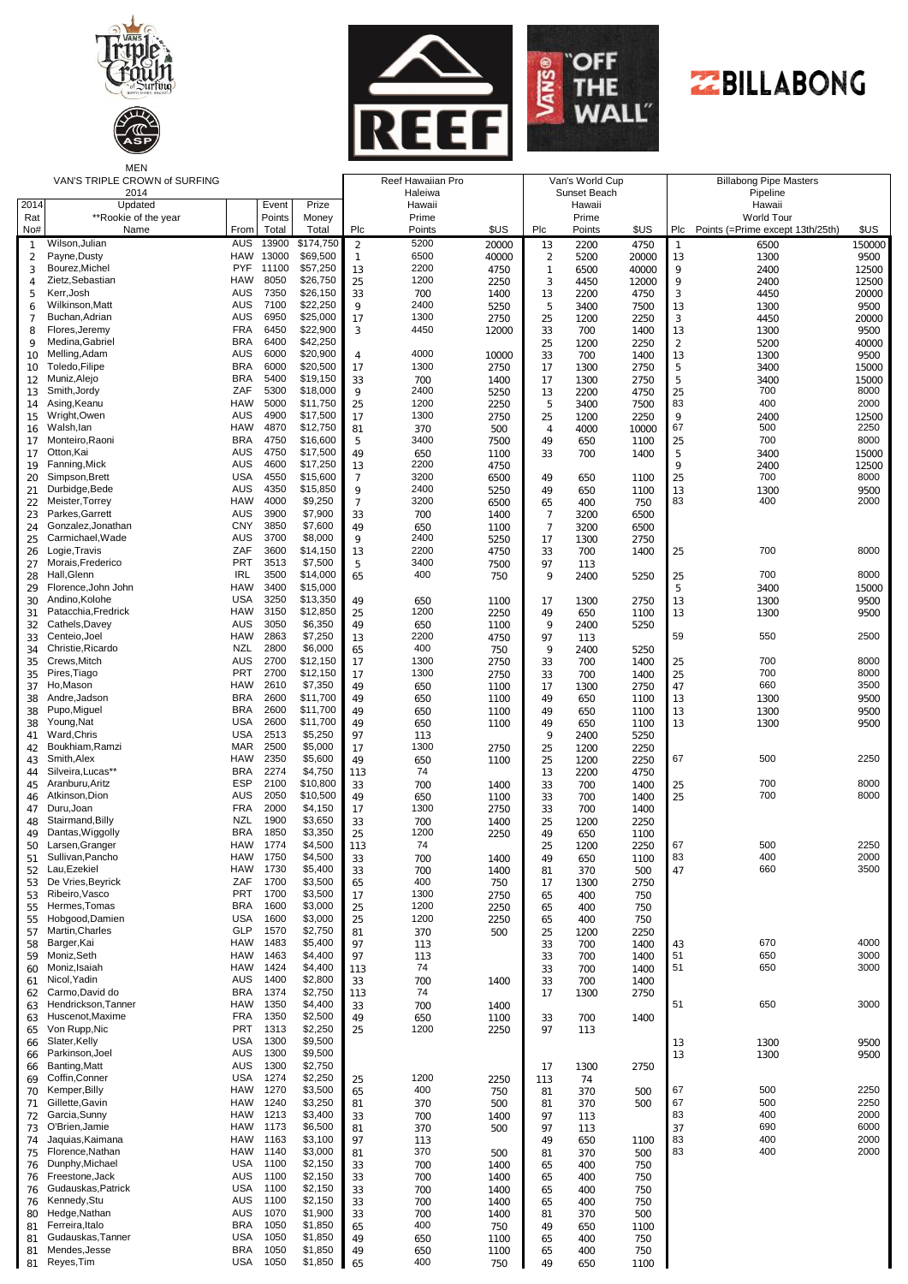







MEN

|                     | VAN'S TRIPLE CROWN of SURFING<br>2014 | Reef Hawaiian Pro<br>Haleiwa |                |                      | Van's World Cup<br>Sunset Beach |              |              |                 | <b>Billabong Pipe Masters</b><br>Pipeline |                |                |                                      |                |
|---------------------|---------------------------------------|------------------------------|----------------|----------------------|---------------------------------|--------------|--------------|-----------------|-------------------------------------------|----------------|----------------|--------------------------------------|----------------|
|                     | 2014<br>Updated<br>Event<br>Prize     |                              |                |                      | Hawaii                          |              |              | Hawaii          |                                           |                | Hawaii         |                                      |                |
| Rat                 | **Rookie of the year                  |                              | Points         | Money                |                                 | Prime        |              |                 | Prime                                     |                |                | <b>World Tour</b>                    |                |
| No#                 | Name                                  | From                         | Total          | Total                | Plc                             | Points       | \$US         | Plc             | Points                                    | \$US           |                | Plc Points (=Prime except 13th/25th) | \$US           |
| -1                  | Wilson, Julian                        | AUS                          | 13900          | \$174,750            | $\overline{2}$                  | 5200         | 20000        | 13              | 2200                                      | 4750           | -1             | 6500                                 | 150000         |
| $\overline{2}$      | Payne, Dusty<br>Bourez, Michel        | HAW<br><b>PYF</b>            | 13000<br>11100 | \$69,500<br>\$57,250 | 1                               | 6500<br>2200 | 40000        | $\overline{2}$  | 5200                                      | 20000          | 13             | 1300                                 | 9500           |
| 3<br>$\overline{4}$ | Zietz.Sebastian                       | HAW                          | 8050           | \$26,750             | 13<br>25                        | 1200         | 4750<br>2250 | 1<br>$\sqrt{3}$ | 6500<br>4450                              | 40000<br>12000 | 9<br>9         | 2400<br>2400                         | 12500<br>12500 |
| 5                   | Kerr, Josh                            | <b>AUS</b>                   | 7350           | \$26,150             | 33                              | 700          | 1400         | 13              | 2200                                      | 4750           | 3              | 4450                                 | 20000          |
| 6                   | Wilkinson, Matt                       | AUS                          | 7100           | \$22,250             | 9                               | 2400         | 5250         | 5               | 3400                                      | 7500           | 13             | 1300                                 | 9500           |
| 7                   | Buchan, Adrian                        | <b>AUS</b>                   | 6950           | \$25,000             | 17                              | 1300         | 2750         | 25              | 1200                                      | 2250           | $\sqrt{3}$     | 4450                                 | 20000          |
| 8                   | Flores, Jeremy                        | <b>FRA</b>                   | 6450           | \$22,900             | 3                               | 4450         | 12000        | 33              | 700                                       | 1400           | 13             | 1300                                 | 9500           |
| 9                   | Medina, Gabriel                       | <b>BRA</b>                   | 6400           | \$42,250             |                                 |              |              | 25              | 1200                                      | 2250           | $\overline{2}$ | 5200                                 | 40000          |
| 10                  | Melling, Adam                         | AUS                          | 6000           | \$20,900             | $\overline{4}$                  | 4000         | 10000        | 33              | 700                                       | 1400           | 13             | 1300                                 | 9500           |
| 10                  | Toledo, Filipe<br>Muniz, Alejo        | <b>BRA</b><br><b>BRA</b>     | 6000<br>5400   | \$20,500<br>\$19,150 | 17                              | 1300         | 2750         | 17              | 1300                                      | 2750           | 5<br>5         | 3400                                 | 15000          |
| 12<br>13            | Smith, Jordy                          | ZAF                          | 5300           | \$18,000             | 33<br>9                         | 700<br>2400  | 1400<br>5250 | 17<br>13        | 1300<br>2200                              | 2750<br>4750   | 25             | 3400<br>700                          | 15000<br>8000  |
| 14                  | Asing, Keanu                          | <b>HAW</b>                   | 5000           | \$11,750             | 25                              | 1200         | 2250         | 5               | 3400                                      | 7500           | 83             | 400                                  | 2000           |
| 15                  | Wright, Owen                          | AUS                          | 4900           | \$17,500             | 17                              | 1300         | 2750         | 25              | 1200                                      | 2250           | 9              | 2400                                 | 12500          |
| 16                  | Walsh, lan                            | <b>HAW</b>                   | 4870           | \$12,750             | 81                              | 370          | 500          | $\overline{4}$  | 4000                                      | 10000          | 67             | 500                                  | 2250           |
| 17                  | Monteiro, Raoni                       | <b>BRA</b>                   | 4750           | \$16,600             | 5                               | 3400         | 7500         | 49              | 650                                       | 1100           | 25             | 700                                  | 8000           |
| 17                  | Otton, Kai                            | <b>AUS</b>                   | 4750           | \$17,500             | 49                              | 650          | 1100         | 33              | 700                                       | 1400           | 5              | 3400                                 | 15000          |
| 19                  | Fanning, Mick                         | <b>AUS</b>                   | 4600           | \$17,250             | 13                              | 2200         | 4750         |                 |                                           |                | $\circ$        | 2400                                 | 12500          |
| 20                  | Simpson, Brett<br>Durbidge, Bede      | <b>USA</b><br><b>AUS</b>     | 4550<br>4350   | \$15,600<br>\$15,850 | $\overline{7}$<br>9             | 3200<br>2400 | 6500         | 49              | 650                                       | 1100           | 25             | 700                                  | 8000           |
| 21<br>22            | Meister, Torrey                       | <b>HAW</b>                   | 4000           | \$9,250              | $\overline{7}$                  | 3200         | 5250<br>6500 | 49<br>65        | 650<br>400                                | 1100<br>750    | 13<br>83       | 1300<br>400                          | 9500<br>2000   |
| 23                  | Parkes, Garrett                       | AUS                          | 3900           | \$7,900              | 33                              | 700          | 1400         | $\overline{7}$  | 3200                                      | 6500           |                |                                      |                |
| 24                  | Gonzalez.Jonathan                     | <b>CNY</b>                   | 3850           | \$7,600              | 49                              | 650          | 1100         | $\overline{7}$  | 3200                                      | 6500           |                |                                      |                |
| 25                  | Carmichael, Wade                      | <b>AUS</b>                   | 3700           | \$8,000              | 9                               | 2400         | 5250         | 17              | 1300                                      | 2750           |                |                                      |                |
| 26                  | Logie, Travis                         | ZAF                          | 3600           | \$14,150             | 13                              | 2200         | 4750         | 33              | 700                                       | 1400           | 25             | 700                                  | 8000           |
| 27                  | Morais, Frederico                     | <b>PRT</b>                   | 3513           | \$7,500              | 5                               | 3400         | 7500         | 97              | 113                                       |                |                |                                      |                |
| 28                  | Hall.Glenn                            | <b>IRL</b>                   | 3500           | \$14,000             | 65                              | 400          | 750          | 9               | 2400                                      | 5250           | 25             | 700                                  | 8000           |
| 29                  | Florence, John John<br>Andino.Kolohe  | HAW<br><b>USA</b>            | 3400<br>3250   | \$15,000<br>\$13,350 |                                 |              |              |                 |                                           |                | 5              | 3400                                 | 15000          |
| 30<br>31            | Patacchia, Fredrick                   | <b>HAW</b>                   | 3150           | \$12,850             | 49<br>25                        | 650<br>1200  | 1100<br>2250 | 17<br>49        | 1300<br>650                               | 2750<br>1100   | 13<br>13       | 1300<br>1300                         | 9500<br>9500   |
| 32                  | Cathels, Davey                        | AUS                          | 3050           | \$6,350              | 49                              | 650          | 1100         | 9               | 2400                                      | 5250           |                |                                      |                |
| 33                  | Centeio, Joel                         | <b>HAW</b>                   | 2863           | \$7,250              | 13                              | 2200         | 4750         | 97              | 113                                       |                | 59             | 550                                  | 2500           |
| 34                  | Christie, Ricardo                     | NZL                          | 2800           | \$6,000              | 65                              | 400          | 750          | 9               | 2400                                      | 5250           |                |                                      |                |
| 35                  | Crews, Mitch                          | <b>AUS</b>                   | 2700           | \$12,150             | 17                              | 1300         | 2750         | 33              | 700                                       | 1400           | 25             | 700                                  | 8000           |
| 35                  | Pires, Tiago                          | <b>PRT</b>                   | 2700           | \$12,150             | 17                              | 1300         | 2750         | 33              | 700                                       | 1400           | 25             | 700                                  | 8000           |
| 37                  | Ho,Mason                              | <b>HAW</b>                   | 2610           | \$7,350              | 49                              | 650          | 1100         | 17              | 1300                                      | 2750           | 47             | 660                                  | 3500           |
| 38                  | Andre, Jadson                         | <b>BRA</b>                   | 2600           | \$11,700             | 49                              | 650          | 1100         | 49              | 650                                       | 1100           | 13             | 1300                                 | 9500           |
| 38                  | Pupo, Miguel<br>Young, Nat            | <b>BRA</b><br>USA            | 2600<br>2600   | \$11,700<br>\$11,700 | 49                              | 650          | 1100         | 49              | 650                                       | 1100           | 13             | 1300                                 | 9500           |
| 38<br>41            | Ward, Chris                           | <b>USA</b>                   | 2513           | \$5,250              | 49<br>97                        | 650<br>113   | 1100         | 49<br>9         | 650<br>2400                               | 1100<br>5250   | 13             | 1300                                 | 9500           |
| 42                  | Boukhiam, Ramzi                       | <b>MAR</b>                   | 2500           | \$5,000              | 17                              | 1300         | 2750         | 25              | 1200                                      | 2250           |                |                                      |                |
| 43                  | Smith, Alex                           | <b>HAW</b>                   | 2350           | \$5,600              | 49                              | 650          | 1100         | 25              | 1200                                      | 2250           | 67             | 500                                  | 2250           |
| 44                  | Silveira.Lucas**                      | <b>BRA</b>                   | 2274           | \$4,750              | 113                             | 74           |              | 13              | 2200                                      | 4750           |                |                                      |                |
| 45                  | Aranburu, Aritz                       | <b>ESP</b>                   | 2100           | \$10,800             | 33                              | 700          | 1400         | 33              | 700                                       | 1400           | 25             | 700                                  | 8000           |
| 46                  | Atkinson, Dion                        | <b>AUS</b>                   | 2050           | \$10,500             | 49                              | 650          | 1100         | 33              | 700                                       | 1400           | 25             | 700                                  | 8000           |
| 47                  | Duru, Joan                            | <b>FRA</b>                   | 2000           | \$4,150              | 17                              | 1300         | 2750         | 33              | 700                                       | 1400           |                |                                      |                |
| 48                  | Stairmand, Billy<br>Dantas, Wiggolly  | NZL<br><b>BRA</b>            | 1900<br>1850   | \$3,650<br>\$3,350   | 33                              | 700<br>1200  | 1400         | 25              | 1200                                      | 2250           |                |                                      |                |
| 49<br>50            | Larsen, Granger                       | <b>HAW</b>                   | 1774           | \$4,500              | 25<br>113                       | 74           | 2250         | 49<br>25        | 650<br>1200                               | 1100<br>2250   | 67             | 500                                  | 2250           |
| 51                  | Sullivan, Pancho                      | <b>HAW</b>                   | 1750           | \$4,500              | 33                              | 700          | 1400         | 49              | 650                                       | 1100           | 83             | 400                                  | 2000           |
| 52                  | Lau, Ezekiel                          | <b>HAW</b>                   | 1730           | \$5,400              | 33                              | 700          | 1400         | 81              | 370                                       | 500            | 47             | 660                                  | 3500           |
| 53                  | De Vries, Beyrick                     | ZAF                          | 1700           | \$3,500              | 65                              | 400          | 750          | 17              | 1300                                      | 2750           |                |                                      |                |
| 53                  | Ribeiro, Vasco                        | <b>PRT</b>                   | 1700           | \$3,500              | 17                              | 1300         | 2750         | 65              | 400                                       | 750            |                |                                      |                |
| 55                  | Hermes.Tomas                          | <b>BRA</b>                   | 1600           | \$3,000              | 25                              | 1200         | 2250         | 65              | 400                                       | 750            |                |                                      |                |
| 55                  | Hobgood, Damien<br>Martin.Charles     | <b>USA</b><br><b>GLP</b>     | 1600<br>1570   | \$3,000              | 25                              | 1200         | 2250         | 65              | 400                                       | 750            |                |                                      |                |
| 57<br>58            | Barger, Kai                           | <b>HAW</b>                   | 1483           | \$2,750<br>\$5,400   | 81<br>97                        | 370<br>113   | 500          | 25<br>33        | 1200<br>700                               | 2250<br>1400   | 43             | 670                                  | 4000           |
| 59                  | Moniz, Seth                           | <b>HAW</b>                   | 1463           | \$4,400              | 97                              | 113          |              | 33              | 700                                       | 1400           | 51             | 650                                  | 3000           |
| 60                  | Moniz, Isaiah                         | <b>HAW</b>                   | 1424           | \$4,400              | 113                             | 74           |              | 33              | 700                                       | 1400           | 51             | 650                                  | 3000           |
| 61                  | Nicol, Yadin                          | AUS                          | 1400           | \$2,800              | 33                              | 700          | 1400         | 33              | 700                                       | 1400           |                |                                      |                |
| 62                  | Carmo.David do                        | <b>BRA</b>                   | 1374           | \$2,750              | 113                             | 74           |              | 17              | 1300                                      | 2750           |                |                                      |                |
| 63                  | Hendrickson.Tanner                    | HAW                          | 1350           | \$4,400              | 33                              | 700          | 1400         |                 |                                           |                | 51             | 650                                  | 3000           |
| 63                  | Huscenot, Maxime                      | <b>FRA</b>                   | 1350           | \$2,500              | 49                              | 650          | 1100         | 33              | 700                                       | 1400           |                |                                      |                |
| 65                  | Von Rupp, Nic<br>Slater, Kelly        | <b>PRT</b><br><b>USA</b>     | 1313<br>1300   | \$2,250<br>\$9,500   | 25                              | 1200         | 2250         | 97              | 113                                       |                |                |                                      |                |
| 66<br>66            | Parkinson, Joel                       | AUS                          | 1300           | \$9,500              |                                 |              |              |                 |                                           |                | 13<br>13       | 1300<br>1300                         | 9500<br>9500   |
| 66                  | Banting, Matt                         | <b>AUS</b>                   | 1300           | \$2,750              |                                 |              |              | 17              | 1300                                      | 2750           |                |                                      |                |
| 69                  | Coffin, Conner                        | <b>USA</b>                   | 1274           | \$2,250              | 25                              | 1200         | 2250         | 113             | 74                                        |                |                |                                      |                |
| 70                  | Kemper, Billy                         | HAW                          | 1270           | \$3,500              | 65                              | 400          | 750          | 81              | 370                                       | 500            | 67             | 500                                  | 2250           |
| 71                  | Gillette, Gavin                       | HAW                          | 1240           | \$3,250              | 81                              | 370          | 500          | 81              | 370                                       | 500            | 67             | 500                                  | 2250           |
| 72                  | Garcia, Sunny                         | HAW                          | 1213           | \$3,400              | 33                              | 700          | 1400         | 97              | 113                                       |                | 83             | 400                                  | 2000           |
| 73                  | O'Brien, Jamie                        | HAW                          | 1173           | \$6,500              | 81                              | 370          | 500          | 97              | 113                                       |                | 37             | 690                                  | 6000           |
| 74                  | Jaquias, Kaimana<br>Florence, Nathan  | HAW<br><b>HAW</b>            | 1163<br>1140   | \$3,100<br>\$3,000   | 97                              | 113<br>370   |              | 49              | 650                                       | 1100           | 83<br>83       | 400<br>400                           | 2000<br>2000   |
| 75<br>76            | Dunphy, Michael                       | <b>USA</b>                   | 1100           | \$2,150              | 81<br>33                        | 700          | 500<br>1400  | 81<br>65        | 370<br>400                                | 500<br>750     |                |                                      |                |
| 76                  | Freestone, Jack                       | AUS                          | 1100           | \$2,150              | 33                              | 700          | 1400         | 65              | 400                                       | 750            |                |                                      |                |
| 76                  | Gudauskas, Patrick                    | <b>USA</b>                   | 1100           | \$2,150              | 33                              | 700          | 1400         | 65              | 400                                       | 750            |                |                                      |                |
| 76                  | Kennedy, Stu                          | AUS                          | 1100           | \$2,150              | 33                              | 700          | 1400         | 65              | 400                                       | 750            |                |                                      |                |
| 80                  | Hedge, Nathan                         | <b>AUS</b>                   | 1070           | \$1,900              | 33                              | 700          | 1400         | 81              | 370                                       | 500            |                |                                      |                |
| 81                  | Ferreira, Italo                       | <b>BRA</b>                   | 1050           | \$1,850              | 65                              | 400          | 750          | 49              | 650                                       | 1100           |                |                                      |                |
| 81                  | Gudauskas, Tanner                     | <b>USA</b>                   | 1050           | \$1,850              | 49                              | 650          | 1100         | 65              | 400                                       | 750            |                |                                      |                |
| 81                  | Mendes, Jesse<br>Reyes, Tim           | <b>BRA</b><br><b>USA</b>     | 1050<br>1050   | \$1,850<br>\$1,850   | 49                              | 650<br>400   | 1100         | 65              | 400                                       | 750            |                |                                      |                |
| 81                  |                                       |                              |                |                      | 65                              |              | 750          | 49              | 650                                       | 1100           |                |                                      |                |